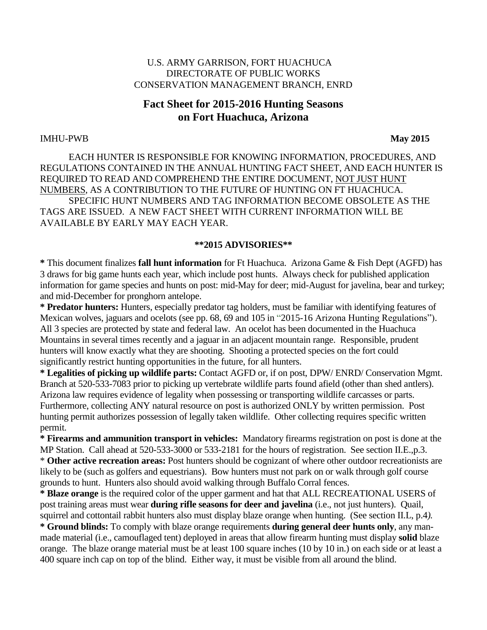## U.S. ARMY GARRISON, FORT HUACHUCA DIRECTORATE OF PUBLIC WORKS CONSERVATION MANAGEMENT BRANCH, ENRD

# **Fact Sheet for 2015-2016 Hunting Seasons on Fort Huachuca, Arizona**

### IMHU-PWB **May 2015**

EACH HUNTER IS RESPONSIBLE FOR KNOWING INFORMATION, PROCEDURES, AND REGULATIONS CONTAINED IN THE ANNUAL HUNTING FACT SHEET, AND EACH HUNTER IS REQUIRED TO READ AND COMPREHEND THE ENTIRE DOCUMENT, NOT JUST HUNT NUMBERS, AS A CONTRIBUTION TO THE FUTURE OF HUNTING ON FT HUACHUCA. SPECIFIC HUNT NUMBERS AND TAG INFORMATION BECOME OBSOLETE AS THE TAGS ARE ISSUED. A NEW FACT SHEET WITH CURRENT INFORMATION WILL BE AVAILABLE BY EARLY MAY EACH YEAR.

### **\*\*2015 ADVISORIES\*\***

**\*** This document finalizes **fall hunt information** for Ft Huachuca. Arizona Game & Fish Dept (AGFD) has 3 draws for big game hunts each year, which include post hunts. Always check for published application information for game species and hunts on post: mid-May for deer; mid-August for javelina, bear and turkey; and mid-December for pronghorn antelope.

**\* Predator hunters:** Hunters, especially predator tag holders, must be familiar with identifying features of Mexican wolves, jaguars and ocelots (see pp. 68, 69 and 105 in "2015-16 Arizona Hunting Regulations"). All 3 species are protected by state and federal law. An ocelot has been documented in the Huachuca Mountains in several times recently and a jaguar in an adjacent mountain range. Responsible, prudent hunters will know exactly what they are shooting. Shooting a protected species on the fort could significantly restrict hunting opportunities in the future, for all hunters.

**\* Legalities of picking up wildlife parts:** Contact AGFD or, if on post, DPW/ ENRD/ Conservation Mgmt. Branch at 520-533-7083 prior to picking up vertebrate wildlife parts found afield (other than shed antlers). Arizona law requires evidence of legality when possessing or transporting wildlife carcasses or parts. Furthermore, collecting ANY natural resource on post is authorized ONLY by written permission. Post hunting permit authorizes possession of legally taken wildlife. Other collecting requires specific written permit.

**\* Firearms and ammunition transport in vehicles:** Mandatory firearms registration on post is done at the MP Station. Call ahead at 520-533-3000 or 533-2181 for the hours of registration. See section II.E.,p.3. \* **Other active recreation areas:** Post hunters should be cognizant of where other outdoor recreationists are likely to be (such as golfers and equestrians). Bow hunters must not park on or walk through golf course grounds to hunt. Hunters also should avoid walking through Buffalo Corral fences.

**\* Blaze orange** is the required color of the upper garment and hat that ALL RECREATIONAL USERS of post training areas must wear **during rifle seasons for deer and javelina** (i.e., not just hunters). Quail, squirrel and cottontail rabbit hunters also must display blaze orange when hunting. (See section II.L, p.4*).*

**\* Ground blinds:** To comply with blaze orange requirements **during general deer hunts only**, any manmade material (i.e., camouflaged tent) deployed in areas that allow firearm hunting must display **solid** blaze orange. The blaze orange material must be at least 100 square inches (10 by 10 in.) on each side or at least a 400 square inch cap on top of the blind. Either way, it must be visible from all around the blind.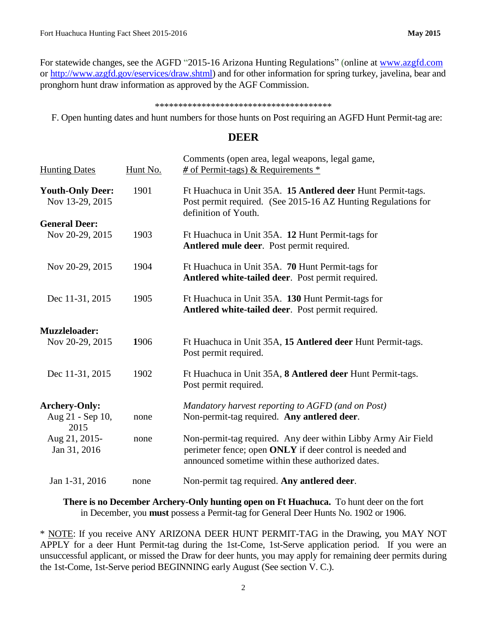For statewide changes, see the AGFD "2015-16 Arizona Hunting Regulations" (online at [www.azgfd.com](http://www.azgfd.com/) or [http://www.azgfd.gov/eservices/draw.shtml\)](http://www.azgfd.gov/eservices/draw.shtml) and for other information for spring turkey, javelina, bear and pronghorn hunt draw information as approved by the AGF Commission.

#### \*\*\*\*\*\*\*\*\*\*\*\*\*\*\*\*\*\*\*\*\*\*\*\*\*\*\*\*\*\*\*\*\*\*\*\*\*\*

F. Open hunting dates and hunt numbers for those hunts on Post requiring an AGFD Hunt Permit-tag are:

## **DEER**

| <b>Hunting Dates</b>                       | Hunt No. | Comments (open area, legal weapons, legal game,<br>$\#$ of Permit-tags) & Requirements $*$                                                                                     |
|--------------------------------------------|----------|--------------------------------------------------------------------------------------------------------------------------------------------------------------------------------|
| <b>Youth-Only Deer:</b><br>Nov 13-29, 2015 | 1901     | Ft Huachuca in Unit 35A. 15 Antlered deer Hunt Permit-tags.<br>Post permit required. (See 2015-16 AZ Hunting Regulations for<br>definition of Youth.                           |
| <b>General Deer:</b>                       |          |                                                                                                                                                                                |
| Nov 20-29, 2015                            | 1903     | Ft Huachuca in Unit 35A. 12 Hunt Permit-tags for<br>Antlered mule deer. Post permit required.                                                                                  |
| Nov 20-29, 2015                            | 1904     | Ft Huachuca in Unit 35A. 70 Hunt Permit-tags for<br>Antlered white-tailed deer. Post permit required.                                                                          |
| Dec 11-31, 2015                            | 1905     | Ft Huachuca in Unit 35A. 130 Hunt Permit-tags for<br>Antlered white-tailed deer. Post permit required.                                                                         |
| <b>Muzzleloader:</b>                       |          |                                                                                                                                                                                |
| Nov 20-29, 2015                            | 1906     | Ft Huachuca in Unit 35A, 15 Antlered deer Hunt Permit-tags.<br>Post permit required.                                                                                           |
| Dec 11-31, 2015                            | 1902     | Ft Huachuca in Unit 35A, 8 Antlered deer Hunt Permit-tags.<br>Post permit required.                                                                                            |
| <b>Archery-Only:</b>                       |          | Mandatory harvest reporting to AGFD (and on Post)                                                                                                                              |
| Aug 21 - Sep 10,<br>2015                   | none     | Non-permit-tag required. Any antlered deer.                                                                                                                                    |
| Aug 21, 2015-<br>Jan 31, 2016              | none     | Non-permit-tag required. Any deer within Libby Army Air Field<br>perimeter fence; open ONLY if deer control is needed and<br>announced sometime within these authorized dates. |
| Jan 1-31, 2016                             | none     | Non-permit tag required. Any antlered deer.                                                                                                                                    |
|                                            |          |                                                                                                                                                                                |

**There is no December Archery-Only hunting open on Ft Huachuca.** To hunt deer on the fort in December, you **must** possess a Permit-tag for General Deer Hunts No. 1902 or 1906.

\* NOTE: If you receive ANY ARIZONA DEER HUNT PERMIT-TAG in the Drawing, you MAY NOT APPLY for a deer Hunt Permit-tag during the 1st-Come, 1st-Serve application period. If you were an unsuccessful applicant, or missed the Draw for deer hunts, you may apply for remaining deer permits during the 1st-Come, 1st-Serve period BEGINNING early August (See section V. C.).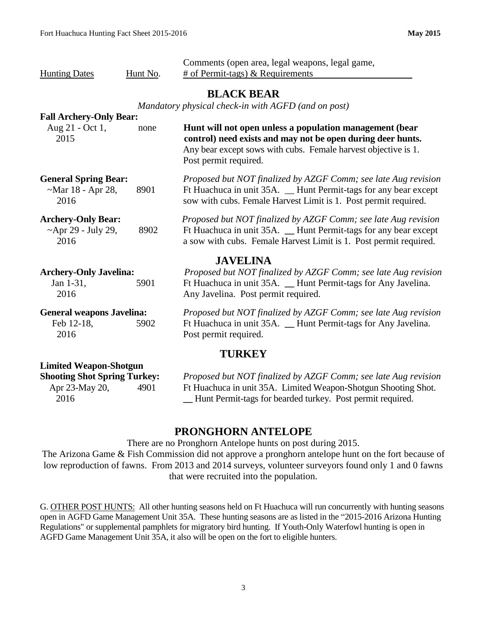| <b>Hunting Dates</b><br>Hunt No.                                                                       |      | Comments (open area, legal weapons, legal game,<br># of Permit-tags) $\&$ Requirements                                                                                                                            |  |  |  |  |  |  |  |
|--------------------------------------------------------------------------------------------------------|------|-------------------------------------------------------------------------------------------------------------------------------------------------------------------------------------------------------------------|--|--|--|--|--|--|--|
|                                                                                                        |      | <b>BLACK BEAR</b><br>Mandatory physical check-in with AGFD (and on post)                                                                                                                                          |  |  |  |  |  |  |  |
| <b>Fall Archery-Only Bear:</b><br>Aug 21 - Oct 1,<br>2015                                              | none | Hunt will not open unless a population management (bear<br>control) need exists and may not be open during deer hunts.<br>Any bear except sows with cubs. Female harvest objective is 1.<br>Post permit required. |  |  |  |  |  |  |  |
| <b>General Spring Bear:</b><br>$-Mar 18 - Apr 28$ ,<br>2016                                            | 8901 | Proposed but NOT finalized by AZGF Comm; see late Aug revision<br>Ft Huachuca in unit 35A. _ Hunt Permit-tags for any bear except<br>sow with cubs. Female Harvest Limit is 1. Post permit required.              |  |  |  |  |  |  |  |
| <b>Archery-Only Bear:</b><br>$~\sim$ Apr 29 - July 29,<br>2016                                         | 8902 | Proposed but NOT finalized by AZGF Comm; see late Aug revision<br>Ft Huachuca in unit 35A. _ Hunt Permit-tags for any bear except<br>a sow with cubs. Female Harvest Limit is 1. Post permit required.            |  |  |  |  |  |  |  |
| <b>Archery-Only Javelina:</b><br>Jan 1-31,<br>2016                                                     | 5901 | <b>JAVELINA</b><br>Proposed but NOT finalized by AZGF Comm; see late Aug revision<br>Ft Huachuca in unit 35A. _ Hunt Permit-tags for Any Javelina.<br>Any Javelina. Post permit required.                         |  |  |  |  |  |  |  |
| <b>General weapons Javelina:</b><br>Feb 12-18,<br>2016                                                 | 5902 | Proposed but NOT finalized by AZGF Comm; see late Aug revision<br>Ft Huachuca in unit 35A. _ Hunt Permit-tags for Any Javelina.<br>Post permit required.                                                          |  |  |  |  |  |  |  |
|                                                                                                        |      | <b>TURKEY</b>                                                                                                                                                                                                     |  |  |  |  |  |  |  |
| <b>Limited Weapon-Shotgun</b><br><b>Shooting Shot Spring Turkey:</b><br>Apr 23-May 20,<br>4901<br>2016 |      | Proposed but NOT finalized by AZGF Comm; see late Aug revision<br>Ft Huachuca in unit 35A. Limited Weapon-Shotgun Shooting Shot.<br>Hunt Permit-tags for bearded turkey. Post permit required.                    |  |  |  |  |  |  |  |

## **PRONGHORN ANTELOPE**

There are no Pronghorn Antelope hunts on post during 2015.

The Arizona Game & Fish Commission did not approve a pronghorn antelope hunt on the fort because of low reproduction of fawns. From 2013 and 2014 surveys, volunteer surveyors found only 1 and 0 fawns that were recruited into the population.

G. OTHER POST HUNTS: All other hunting seasons held on Ft Huachuca will run concurrently with hunting seasons open in AGFD Game Management Unit 35A. These hunting seasons are as listed in the "2015-2016 Arizona Hunting Regulations" or supplemental pamphlets for migratory bird hunting. If Youth-Only Waterfowl hunting is open in AGFD Game Management Unit 35A, it also will be open on the fort to eligible hunters.